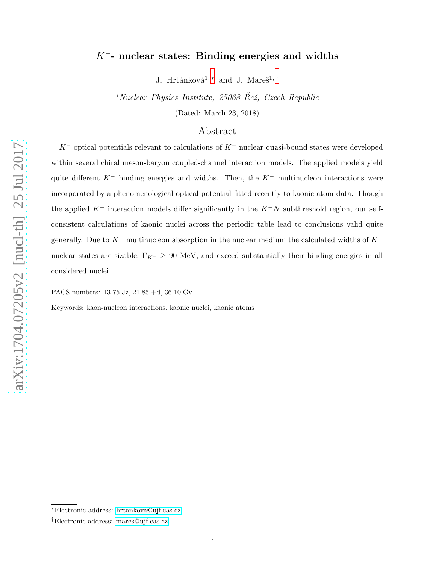# $K^-$ - nuclear states: Binding energies and widths

J. Hrtánková $^{1,\,*}$  and J. Mareš $^{1,\,\dagger}$ 

 $1$ Nuclear Physics Institute, 25068 Rež, Czech Republic

(Dated: March 23, 2018)

# Abstract

 $K^-$  optical potentials relevant to calculations of  $K^-$  nuclear quasi-bound states were developed within several chiral meson-baryon coupled-channel interaction models. The applied models yield quite different  $K^-$  binding energies and widths. Then, the  $K^-$  multinucleon interactions were incorporated by a phenomenological optical potential fitted recently to kaonic atom data. Though the applied  $K^-$  interaction models differ significantly in the  $K^-N$  subthreshold region, our selfconsistent calculations of kaonic nuclei across the periodic table lead to conclusions valid quite generally. Due to  $K^-$  multinucleon absorption in the nuclear medium the calculated widths of  $K^$ nuclear states are sizable,  $\Gamma_{K^-} \geq 90$  MeV, and exceed substantially their binding energies in all considered nuclei.

PACS numbers: 13.75.Jz, 21.85.+d, 36.10.Gv

Keywords: kaon-nucleon interactions, kaonic nuclei, kaonic atoms

<span id="page-0-1"></span><span id="page-0-0"></span><sup>∗</sup>Electronic address: [hrtankova@ujf.cas.cz](mailto:hrtankova@ujf.cas.cz)

<sup>†</sup>Electronic address: [mares@ujf.cas.cz](mailto:mares@ujf.cas.cz)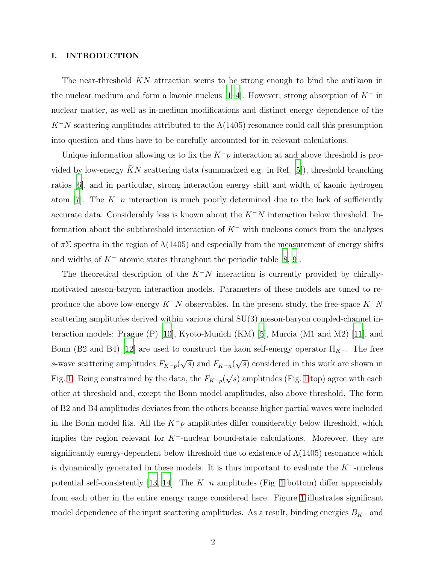#### I. INTRODUCTION

The near-threshold  $\bar{K}N$  attraction seems to be strong enough to bind the antikaon in the nuclear medium and form a kaonic nucleus [\[1](#page-21-0)[–4\]](#page-22-0). However, strong absorption of  $K^-$  in nuclear matter, as well as in-medium modifications and distinct energy dependence of the  $K^-N$  scattering amplitudes attributed to the  $\Lambda(1405)$  resonance could call this presumption into question and thus have to be carefully accounted for in relevant calculations.

Unique information allowing us to fix the  $K^-p$  interaction at and above threshold is provided by low-energy  $\bar{K}N$  scattering data (summarized e.g. in Ref. [\[5\]](#page-22-1)), threshold branching ratios [\[6](#page-22-2)], and in particular, strong interaction energy shift and width of kaonic hydrogen atom [\[7\]](#page-22-3). The  $K^-\pi$  interaction is much poorly determined due to the lack of sufficiently accurate data. Considerably less is known about the  $K^-N$  interaction below threshold. Information about the subthreshold interaction of  $K^-$  with nucleons comes from the analyses of  $\pi\Sigma$  spectra in the region of  $\Lambda(1405)$  and especially from the measurement of energy shifts and widths of  $K^-$  atomic states throughout the periodic table [\[8,](#page-22-4) [9\]](#page-22-5).

The theoretical description of the  $K^-N$  interaction is currently provided by chirallymotivated meson-baryon interaction models. Parameters of these models are tuned to reproduce the above low-energy  $K^-N$  observables. In the present study, the free-space  $K^-N$ scattering amplitudes derived within various chiral SU(3) meson-baryon coupled-channel interaction models: Prague (P) [\[10](#page-22-6)], Kyoto-Munich (KM) [\[5\]](#page-22-1), Murcia (M1 and M2) [\[11](#page-22-7)], and Bonn (B2 and B4) [\[12](#page-22-8)] are used to construct the kaon self-energy operator  $\Pi_{K^-}$ . The free s-wave scattering amplitudes  $F_{K-p}(\sqrt{s})$  and  $F_{K-p}(\sqrt{s})$  considered in this work are shown in Fig. [1.](#page-2-0) Being constrained by the data, the  $F_{K^-p}(\sqrt{s})$  amplitudes (Fig. [1](#page-2-0) top) agree with each other at threshold and, except the Bonn model amplitudes, also above threshold. The form of B2 and B4 amplitudes deviates from the others because higher partial waves were included in the Bonn model fits. All the  $K^-p$  amplitudes differ considerably below threshold, which implies the region relevant for  $K^-$ -nuclear bound-state calculations. Moreover, they are significantly energy-dependent below threshold due to existence of  $\Lambda(1405)$  resonance which is dynamically generated in these models. It is thus important to evaluate the  $K^-$ -nucleus potential self-consistently [\[13,](#page-22-9) [14\]](#page-22-10). The  $K^-\pi$  amplitudes (Fig. [1](#page-2-0) bottom) differ appreciably from each other in the entire energy range considered here. Figure [1](#page-2-0) illustrates significant model dependence of the input scattering amplitudes. As a result, binding energies  $B_{K-}$  and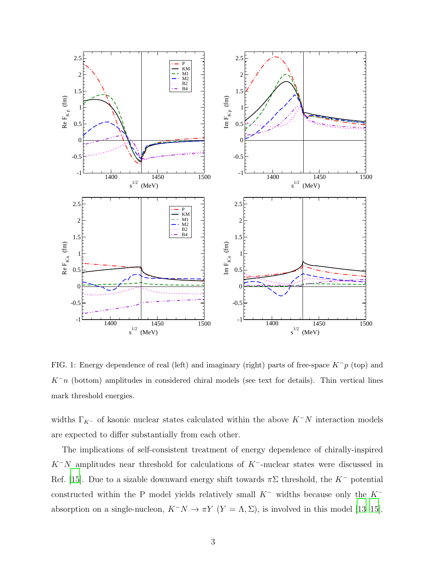

<span id="page-2-0"></span>FIG. 1: Energy dependence of real (left) and imaginary (right) parts of free-space  $K^-p$  (top) and  $K^-\mathfrak{n}$  (bottom) amplitudes in considered chiral models (see text for details). Thin vertical lines mark threshold energies.

widths  $\Gamma_{K^-}$  of kaonic nuclear states calculated within the above  $K^-N$  interaction models are expected to differ substantially from each other.

The implications of self-consistent treatment of energy dependence of chirally-inspired  $K^-N$  amplitudes near threshold for calculations of  $K^-$ -nuclear states were discussed in Ref. [\[15\]](#page-22-11). Due to a sizable downward energy shift towards  $\pi\Sigma$  threshold, the K<sup>-</sup> potential constructed within the P model yields relatively small  $K^-$  widths because only the  $K^$ absorption on a single-nucleon,  $K^-N \to \pi Y$   $(Y = \Lambda, \Sigma)$ , is involved in this model [\[13](#page-22-9)[–15\]](#page-22-11).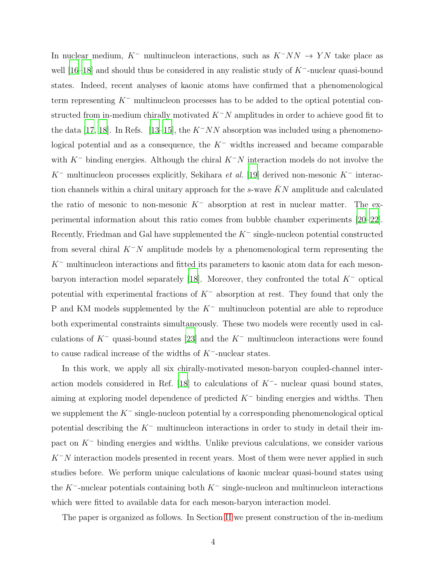In nuclear medium, K<sup>-</sup> multinucleon interactions, such as  $K^-NN \rightarrow YN$  take place as well [\[16](#page-22-12)[–18\]](#page-22-13) and should thus be considered in any realistic study of K<sup>-</sup>-nuclear quasi-bound states. Indeed, recent analyses of kaonic atoms have confirmed that a phenomenological term representing  $K^-$  multinucleon processes has to be added to the optical potential constructed from in-medium chirally motivated  $K^-N$  amplitudes in order to achieve good fit to the data [\[17](#page-22-14), [18](#page-22-13)]. In Refs. [\[13](#page-22-9)[–15](#page-22-11)], the  $K^-NN$  absorption was included using a phenomenological potential and as a consequence, the  $K^-$  widths increased and became comparable with  $K^-$  binding energies. Although the chiral  $K^-N$  interaction models do not involve the K<sup>-</sup> multinucleon processes explicitly, Sekihara *et al.* [\[19\]](#page-22-15) derived non-mesonic K<sup>-</sup> interaction channels within a chiral unitary approach for the s-wave  $\bar{K}N$  amplitude and calculated the ratio of mesonic to non-mesonic  $K^-$  absorption at rest in nuclear matter. The experimental information about this ratio comes from bubble chamber experiments [\[20](#page-22-16)[–22\]](#page-22-17). Recently, Friedman and Gal have supplemented the  $K^-$  single-nucleon potential constructed from several chiral  $K^-N$  amplitude models by a phenomenological term representing the  $K^-$  multinucleon interactions and fitted its parameters to kaonic atom data for each meson-baryon interaction model separately [\[18\]](#page-22-13). Moreover, they confronted the total  $K^-$  optical potential with experimental fractions of  $K^-$  absorption at rest. They found that only the P and KM models supplemented by the K<sup>−</sup> multinucleon potential are able to reproduce both experimental constraints simultaneously. These two models were recently used in calculations of  $K^-$  quasi-bound states [\[23\]](#page-22-18) and the  $K^-$  multinucleon interactions were found to cause radical increase of the widths of K−-nuclear states.

In this work, we apply all six chirally-motivated meson-baryon coupled-channel inter-action models considered in Ref. [\[18\]](#page-22-13) to calculations of  $K^-$ - nuclear quasi bound states, aiming at exploring model dependence of predicted  $K^-$  binding energies and widths. Then we supplement the  $K^-$  single-nucleon potential by a corresponding phenomenological optical potential describing the  $K^-$  multinucleon interactions in order to study in detail their impact on K<sup>−</sup> binding energies and widths. Unlike previous calculations, we consider various  $K^-N$  interaction models presented in recent years. Most of them were never applied in such studies before. We perform unique calculations of kaonic nuclear quasi-bound states using the K<sup>-</sup>-nuclear potentials containing both  $K^-$  single-nucleon and multinucleon interactions which were fitted to available data for each meson-baryon interaction model.

The paper is organized as follows. In Section [II](#page-4-0) we present construction of the in-medium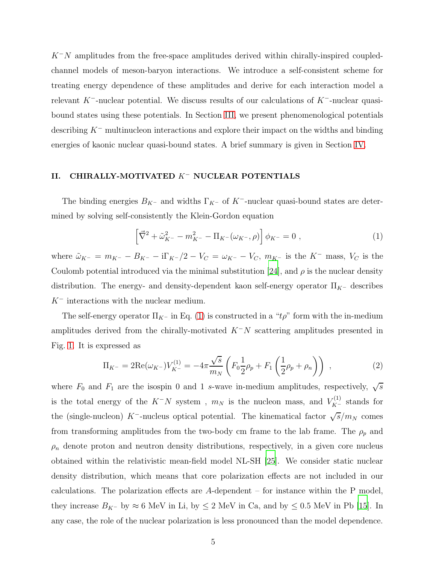$K^-N$  amplitudes from the free-space amplitudes derived within chirally-inspired coupledchannel models of meson-baryon interactions. We introduce a self-consistent scheme for treating energy dependence of these amplitudes and derive for each interaction model a relevant K<sup>-</sup>-nuclear potential. We discuss results of our calculations of K<sup>-</sup>-nuclear quasibound states using these potentials. In Section [III,](#page-13-0) we present phenomenological potentials describing K<sup>−</sup> multinucleon interactions and explore their impact on the widths and binding energies of kaonic nuclear quasi-bound states. A brief summary is given in Section [IV.](#page-20-0)

# <span id="page-4-0"></span>II. CHIRALLY-MOTIVATED K− NUCLEAR POTENTIALS

The binding energies  $B_{K^-}$  and widths  $\Gamma_{K^-}$  of K<sup>-</sup>-nuclear quasi-bound states are determined by solving self-consistently the Klein-Gordon equation

<span id="page-4-1"></span>
$$
\left[\vec{\nabla}^2 + \tilde{\omega}_{K^-}^2 - m_{K^-}^2 - \Pi_{K^-}(\omega_{K^-}, \rho)\right] \phi_{K^-} = 0 \;, \tag{1}
$$

where  $\tilde{\omega}_{K^-} = m_{K^-} - B_{K^-} - i\Gamma_{K^-}/2 - V_C = \omega_{K^-} - V_C$ ,  $m_{K^-}$  is the  $K^-$  mass,  $V_C$  is the Coulomb potential introduced via the minimal substitution [\[24\]](#page-22-19), and  $\rho$  is the nuclear density distribution. The energy- and density-dependent kaon self-energy operator  $\Pi_{K^-}$  describes  $K^-$  interactions with the nuclear medium.

The self-energy operator  $\Pi_{K^-}$  in Eq. [\(1\)](#page-4-1) is constructed in a " $t\rho$ " form with the in-medium amplitudes derived from the chirally-motivated  $K^-N$  scattering amplitudes presented in Fig. [1.](#page-2-0) It is expressed as

<span id="page-4-2"></span>
$$
\Pi_{K^{-}} = 2\text{Re}(\omega_{K^{-}})V_{K^{-}}^{(1)} = -4\pi \frac{\sqrt{s}}{m_{N}} \left(F_{0}\frac{1}{2}\rho_{p} + F_{1}\left(\frac{1}{2}\rho_{p} + \rho_{n}\right)\right) ,\qquad (2)
$$

where  $F_0$  and  $F_1$  are the isospin 0 and 1 s-wave in-medium amplitudes, respectively,  $\sqrt{s}$ is the total energy of the  $K^-N$  system,  $m_N$  is the nucleon mass, and  $V_{K^-}^{(1)}$  stands for the (single-nucleon) K<sup>--</sup>nucleus optical potential. The kinematical factor  $\sqrt{s/m_N}$  comes from transforming amplitudes from the two-body cm frame to the lab frame. The  $\rho_p$  and  $\rho_n$  denote proton and neutron density distributions, respectively, in a given core nucleus obtained within the relativistic mean-field model NL-SH [\[25\]](#page-22-20). We consider static nuclear density distribution, which means that core polarization effects are not included in our calculations. The polarization effects are  $A$ -dependent – for instance within the P model, they increase  $B_{K^-}$  by  $\approx 6$  MeV in Li, by  $\leq 2$  MeV in Ca, and by  $\leq 0.5$  MeV in Pb [\[15\]](#page-22-11). In any case, the role of the nuclear polarization is less pronounced than the model dependence.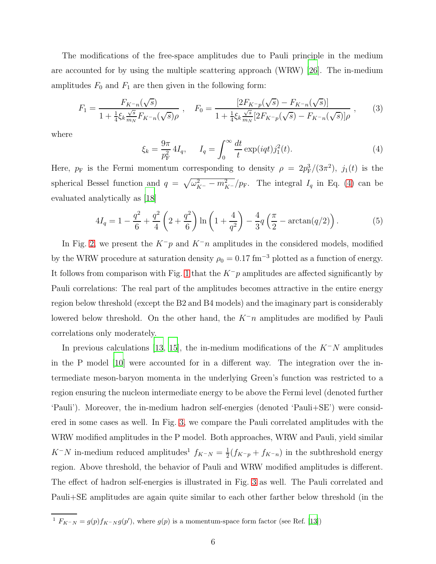The modifications of the free-space amplitudes due to Pauli principle in the medium are accounted for by using the multiple scattering approach (WRW) [\[26\]](#page-22-21). The in-medium amplitudes  $F_0$  and  $F_1$  are then given in the following form:

<span id="page-5-1"></span>
$$
F_1 = \frac{F_{K-n}(\sqrt{s})}{1 + \frac{1}{4}\xi_k \frac{\sqrt{s}}{m_N} F_{K-n}(\sqrt{s})\rho} , \quad F_0 = \frac{[2F_{K-p}(\sqrt{s}) - F_{K-n}(\sqrt{s})]}{1 + \frac{1}{4}\xi_k \frac{\sqrt{s}}{m_N} [2F_{K-p}(\sqrt{s}) - F_{K-n}(\sqrt{s})]\rho} ,
$$
 (3)

where

<span id="page-5-0"></span>
$$
\xi_k = \frac{9\pi}{p_{\rm F}^2} 4I_q, \qquad I_q = \int_0^\infty \frac{dt}{t} \exp(iqt) j_1^2(t). \tag{4}
$$

Here,  $p_F$  is the Fermi momentum corresponding to density  $\rho = 2p_F^3/(3\pi^2)$ ,  $j_1(t)$  is the spherical Bessel function and  $q = \sqrt{\omega_{K^-}^2 - m_{K^-}^2}/p_F$ . The integral  $I_q$  in Eq. [\(4\)](#page-5-0) can be evaluated analytically as [\[18\]](#page-22-13)

$$
4I_q = 1 - \frac{q^2}{6} + \frac{q^2}{4} \left( 2 + \frac{q^2}{6} \right) \ln \left( 1 + \frac{4}{q^2} \right) - \frac{4}{3} q \left( \frac{\pi}{2} - \arctan(q/2) \right). \tag{5}
$$

In Fig. [2,](#page-6-0) we present the  $K^-p$  and  $K^-n$  amplitudes in the considered models, modified by the WRW procedure at saturation density  $\rho_0 = 0.17 \text{ fm}^{-3}$  plotted as a function of energy. It follows from comparison with Fig. [1](#page-2-0) that the  $K^-p$  amplitudes are affected significantly by Pauli correlations: The real part of the amplitudes becomes attractive in the entire energy region below threshold (except the B2 and B4 models) and the imaginary part is considerably lowered below threshold. On the other hand, the  $K^-\eta$  amplitudes are modified by Pauli correlations only moderately.

In previous calculations [\[13](#page-22-9), [15](#page-22-11)], the in-medium modifications of the  $K^-N$  amplitudes in the P model [\[10\]](#page-22-6) were accounted for in a different way. The integration over the intermediate meson-baryon momenta in the underlying Green's function was restricted to a region ensuring the nucleon intermediate energy to be above the Fermi level (denoted further 'Pauli'). Moreover, the in-medium hadron self-energies (denoted 'Pauli+SE') were considered in some cases as well. In Fig. [3,](#page-7-0) we compare the Pauli correlated amplitudes with the WRW modified amplitudes in the P model. Both approaches, WRW and Pauli, yield similar  $K^-N$  in-medium reduced amplitudes<sup>1</sup>  $f_{K^-N} = \frac{1}{2}$  $\frac{1}{2}(f_{K^-p}+f_{K^-n})$  in the subthreshold energy region. Above threshold, the behavior of Pauli and WRW modified amplitudes is different. The effect of hadron self-energies is illustrated in Fig. [3](#page-7-0) as well. The Pauli correlated and Pauli+SE amplitudes are again quite similar to each other farther below threshold (in the

<sup>&</sup>lt;sup>1</sup>  $F_{K^-N} = g(p)f_{K^-N}g(p')$ , where  $g(p)$  is a momentum-space form factor (see Ref. [\[13](#page-22-9)])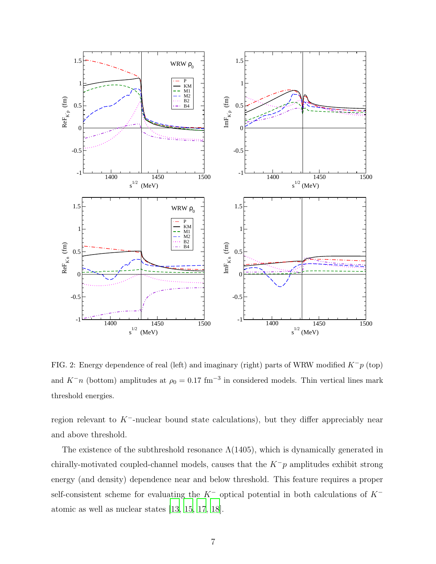

<span id="page-6-0"></span>FIG. 2: Energy dependence of real (left) and imaginary (right) parts of WRW modified  $K^-p$  (top) and  $K^{\dagger}n$  (bottom) amplitudes at  $\rho_0 = 0.17$  fm<sup>-3</sup> in considered models. Thin vertical lines mark threshold energies.

region relevant to  $K^-$ -nuclear bound state calculations), but they differ appreciably near and above threshold.

The existence of the subthreshold resonance  $\Lambda(1405)$ , which is dynamically generated in chirally-motivated coupled-channel models, causes that the  $K^-p$  amplitudes exhibit strong energy (and density) dependence near and below threshold. This feature requires a proper self-consistent scheme for evaluating the K<sup>−</sup> optical potential in both calculations of K<sup>−</sup> atomic as well as nuclear states [\[13,](#page-22-9) [15,](#page-22-11) [17,](#page-22-14) [18](#page-22-13)].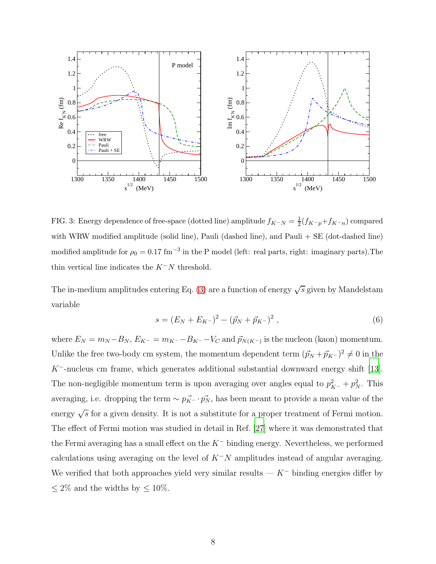

<span id="page-7-0"></span>FIG. 3: Energy dependence of free-space (dotted line) amplitude  $f_{K^-N} = \frac{1}{2}(f_{K^-p} + f_{K^-n})$  compared with WRW modified amplitude (solid line), Pauli (dashed line), and Pauli + SE (dot-dashed line) modified amplitude for  $\rho_0 = 0.17$  fm<sup>-3</sup> in the P model (left: real parts, right: imaginary parts). The thin vertical line indicates the  $K^-N$  threshold.

The in-medium amplitudes entering Eq. [\(3\)](#page-5-1) are a function of energy  $\sqrt{s}$  given by Mandelstam variable

$$
s = (E_N + E_{K^-})^2 - (\vec{p}_N + \vec{p}_{K^-})^2 , \qquad (6)
$$

where  $E_N = m_N - B_N$ ,  $E_{K^-} = m_{K^-} - B_{K^-} - V_C$  and  $\vec{p}_{N(K^-)}$  is the nucleon (kaon) momentum. Unlike the free two-body cm system, the momentum dependent term  $(\vec{p}_N + \vec{p}_{K^-})^2 \neq 0$  in the  $K^-$ -nucleus cm frame, which generates additional substantial downward energy shift [\[13\]](#page-22-9). The non-negligible momentum term is upon averaging over angles equal to  $p_{K^-}^2 + p_N^2$ . This averaging, i.e. dropping the term  $\sim p_{K^-}^{\rightarrow} \cdot p_N^{\rightarrow}$ , has been meant to provide a mean value of the energy  $\sqrt{s}$  for a given density. It is not a substitute for a proper treatment of Fermi motion. The effect of Fermi motion was studied in detail in Ref. [\[27\]](#page-22-22) where it was demonstrated that the Fermi averaging has a small effect on the  $K^-$  binding energy. Nevertheless, we performed calculations using averaging on the level of  $K^-N$  amplitudes instead of angular averaging. We verified that both approaches yield very similar results —  $K^-$  binding energies differ by  $\leq 2\%$  and the widths by  $\leq 10\%.$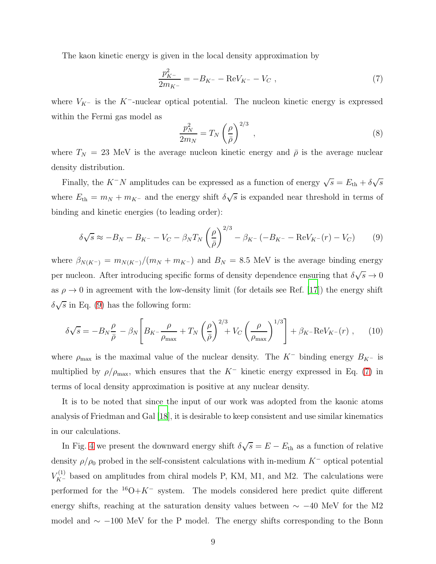The kaon kinetic energy is given in the local density approximation by

<span id="page-8-1"></span>
$$
\frac{p_{K^-}^2}{2m_{K^-}} = -B_{K^-} - \text{Re}V_{K^-} - V_C \,,\tag{7}
$$

where  $V_{K^-}$  is the K<sup>-</sup>-nuclear optical potential. The nucleon kinetic energy is expressed within the Fermi gas model as

$$
\frac{p_N^2}{2m_N} = T_N \left(\frac{\rho}{\bar{\rho}}\right)^{2/3},\tag{8}
$$

where  $T_N = 23$  MeV is the average nucleon kinetic energy and  $\bar{\rho}$  is the average nuclear density distribution.

Finally, the  $K^-N$  amplitudes can be expressed as a function of energy  $\sqrt{s} = E_{\text{th}} + \delta \sqrt{s}$ where  $E_{\text{th}} = m_N + m_{K^-}$  and the energy shift  $\delta \sqrt{s}$  is expanded near threshold in terms of binding and kinetic energies (to leading order):

<span id="page-8-0"></span>
$$
\delta\sqrt{s} \approx -B_N - B_{K^-} - V_C - \beta_N T_N \left(\frac{\rho}{\bar{\rho}}\right)^{2/3} - \beta_{K^-} \left(-B_{K^-} - \text{Re}V_{K^-}(r) - V_C\right) \tag{9}
$$

where  $\beta_{N(K^-)} = m_{N(K^-)}/(m_N + m_{K^-})$  and  $B_N = 8.5$  MeV is the average binding energy per nucleon. After introducing specific forms of density dependence ensuring that  $\delta\sqrt{s} \to 0$ as  $\rho \rightarrow 0$  in agreement with the low-density limit (for details see Ref. [\[17](#page-22-14)]) the energy shift  $\delta\sqrt{s}$  in Eq. [\(9\)](#page-8-0) has the following form:

<span id="page-8-2"></span>
$$
\delta\sqrt{s} = -B_N \frac{\rho}{\bar{\rho}} - \beta_N \left[ B_{K^-} \frac{\rho}{\rho_{\text{max}}} + T_N \left( \frac{\rho}{\bar{\rho}} \right)^{2/3} + V_C \left( \frac{\rho}{\rho_{\text{max}}} \right)^{1/3} \right] + \beta_{K^-} \text{Re} V_{K^-}(r) , \quad (10)
$$

where  $\rho_{\text{max}}$  is the maximal value of the nuclear density. The K<sup>−</sup> binding energy  $B_{K^-}$  is multiplied by  $\rho/\rho_{\text{max}}$ , which ensures that the K<sup>-</sup> kinetic energy expressed in Eq. [\(7\)](#page-8-1) in terms of local density approximation is positive at any nuclear density.

It is to be noted that since the input of our work was adopted from the kaonic atoms analysis of Friedman and Gal [\[18\]](#page-22-13), it is desirable to keep consistent and use similar kinematics in our calculations.

In Fig. [4](#page-9-0) we present the downward energy shift  $\delta\sqrt{s} = E - E_{\text{th}}$  as a function of relative density  $\rho/\rho_0$  probed in the self-consistent calculations with in-medium K<sup>-</sup> optical potential  $V_{K^-}^{(1)}$  based on amplitudes from chiral models P, KM, M1, and M2. The calculations were performed for the  $16O+K^-$  system. The models considered here predict quite different energy shifts, reaching at the saturation density values between  $\sim -40$  MeV for the M2 model and  $\sim$  −100 MeV for the P model. The energy shifts corresponding to the Bonn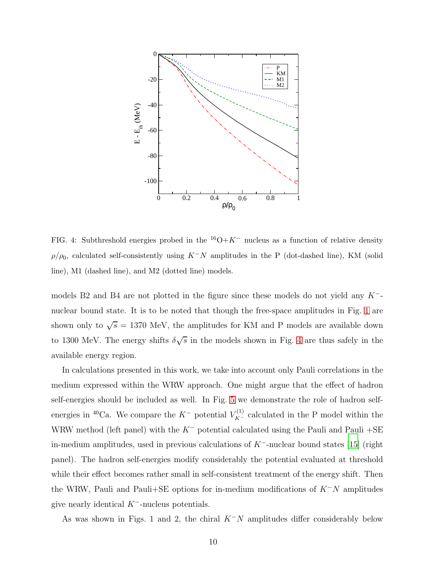

<span id="page-9-0"></span>FIG. 4: Subthreshold energies probed in the  $16O+K^-$  nucleus as a function of relative density  $\rho/\rho_0$ , calculated self-consistently using K<sup>-</sup>N amplitudes in the P (dot-dashed line), KM (solid line), M1 (dashed line), and M2 (dotted line) models.

models B2 and B4 are not plotted in the figure since these models do not yield any  $K^-$ nuclear bound state. It is to be noted that though the free-space amplitudes in Fig. [1](#page-2-0) are shown only to  $\sqrt{s} = 1370$  MeV, the amplitudes for KM and P models are available down to 1300 MeV. The energy shifts  $\delta\sqrt{s}$  in the models shown in Fig. [4](#page-9-0) are thus safely in the available energy region.

In calculations presented in this work, we take into account only Pauli correlations in the medium expressed within the WRW approach. One might argue that the effect of hadron self-energies should be included as well. In Fig. [5](#page-10-0) we demonstrate the role of hadron selfenergies in <sup>40</sup>Ca. We compare the  $K^-$  potential  $V_{K^-}^{(1)}$  calculated in the P model within the WRW method (left panel) with the  $K^-$  potential calculated using the Pauli and Pauli +SE in-medium amplitudes, used in previous calculations of K−-nuclear bound states [\[15](#page-22-11)] (right panel). The hadron self-energies modify considerably the potential evaluated at threshold while their effect becomes rather small in self-consistent treatment of the energy shift. Then the WRW, Pauli and Pauli+SE options for in-medium modifications of  $K^-N$  amplitudes give nearly identical  $K^-$ -nucleus potentials.

As was shown in Figs. 1 and 2, the chiral  $K^-N$  amplitudes differ considerably below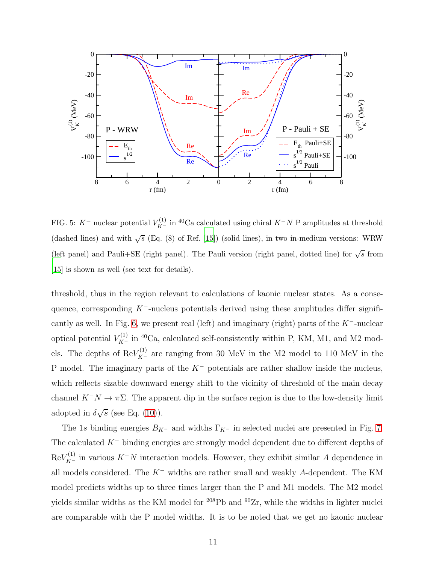

<span id="page-10-0"></span>FIG. 5: K<sup>-</sup> nuclear potential  $V_{K^-}^{(1)}$  in <sup>40</sup>Ca calculated using chiral K<sup>-</sup>N P amplitudes at threshold (dashed lines) and with  $\sqrt{s}$  (Eq. (8) of Ref. [\[15\]](#page-22-11)) (solid lines), in two in-medium versions: WRW (left panel) and Pauli+SE (right panel). The Pauli version (right panel, dotted line) for  $\sqrt{s}$  from [\[15\]](#page-22-11) is shown as well (see text for details).

threshold, thus in the region relevant to calculations of kaonic nuclear states. As a consequence, corresponding  $K^-$ -nucleus potentials derived using these amplitudes differ signifi-cantly as well. In Fig. [6,](#page-11-0) we present real (left) and imaginary (right) parts of the  $K^-$ -nuclear optical potential  $V_{K^-}^{(1)}$  in <sup>40</sup>Ca, calculated self-consistently within P, KM, M1, and M2 models. The depths of  $\text{Re}V_{K^-}^{(1)}$  are ranging from 30 MeV in the M2 model to 110 MeV in the P model. The imaginary parts of the  $K^-$  potentials are rather shallow inside the nucleus, which reflects sizable downward energy shift to the vicinity of threshold of the main decay channel  $K^-N \to \pi\Sigma$ . The apparent dip in the surface region is due to the low-density limit adopted in  $\delta\sqrt{s}$  (see Eq. [\(10\)](#page-8-2)).

The 1s binding energies  $B_{K^-}$  and widths  $\Gamma_{K^-}$  in selected nuclei are presented in Fig. [7.](#page-11-1) The calculated K<sup>−</sup> binding energies are strongly model dependent due to different depths of  $\text{Re}V_{K^-}^{(1)}$  in various  $K^-N$  interaction models. However, they exhibit similar A dependence in all models considered. The K<sup>−</sup> widths are rather small and weakly A-dependent. The KM model predicts widths up to three times larger than the P and M1 models. The M2 model yields similar widths as the KM model for  $^{208}Pb$  and  $^{90}Zr$ , while the widths in lighter nuclei are comparable with the P model widths. It is to be noted that we get no kaonic nuclear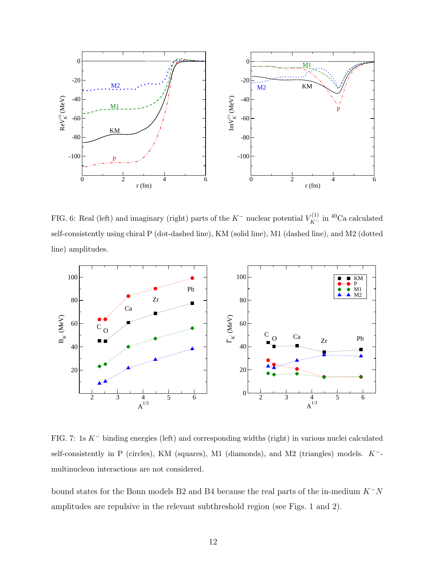

<span id="page-11-0"></span>FIG. 6: Real (left) and imaginary (right) parts of the  $K^-$  nuclear potential  $V_{K^-}^{(1)}$  in <sup>40</sup>Ca calculated self-consistently using chiral P (dot-dashed line), KM (solid line), M1 (dashed line), and M2 (dotted line) amplitudes.



<span id="page-11-1"></span>FIG. 7: 1s K− binding energies (left) and corresponding widths (right) in various nuclei calculated self-consistently in P (circles), KM (squares), M1 (diamonds), and M2 (triangles) models. K<sup>-</sup>multinucleon interactions are not considered.

bound states for the Bonn models B2 and B4 because the real parts of the in-medium  $K^-N$ amplitudes are repulsive in the relevant subthreshold region (see Figs. 1 and 2).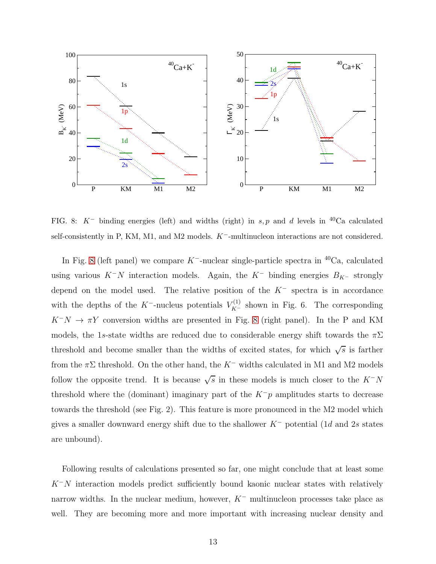

<span id="page-12-0"></span>FIG. 8:  $K^-$  binding energies (left) and widths (right) in s, p and d levels in <sup>40</sup>Ca calculated self-consistently in P, KM, M1, and M2 models. K<sup>−</sup>-multinucleon interactions are not considered.

In Fig. [8](#page-12-0) (left panel) we compare K<sup>--</sup>nuclear single-particle spectra in <sup>40</sup>Ca, calculated using various  $K^-N$  interaction models. Again, the  $K^-$  binding energies  $B_{K^-}$  strongly depend on the model used. The relative position of the  $K^-$  spectra is in accordance with the depths of the K<sup>--</sup>-nucleus potentials  $V_{K^-}^{(1)}$  shown in Fig. 6. The corresponding  $K^-N \to \pi Y$  conversion widths are presented in Fig. [8](#page-12-0) (right panel). In the P and KM models, the 1s-state widths are reduced due to considerable energy shift towards the  $\pi\Sigma$ threshold and become smaller than the widths of excited states, for which  $\sqrt{s}$  is farther from the  $\pi\Sigma$  threshold. On the other hand, the K<sup>-</sup> widths calculated in M1 and M2 models follow the opposite trend. It is because  $\sqrt{s}$  in these models is much closer to the  $K^-N$ threshold where the (dominant) imaginary part of the  $K^-p$  amplitudes starts to decrease towards the threshold (see Fig. 2). This feature is more pronounced in the M2 model which gives a smaller downward energy shift due to the shallower  $K^-$  potential (1d and 2s states are unbound).

Following results of calculations presented so far, one might conclude that at least some  $K^-N$  interaction models predict sufficiently bound kaonic nuclear states with relatively narrow widths. In the nuclear medium, however,  $K^-$  multinucleon processes take place as well. They are becoming more and more important with increasing nuclear density and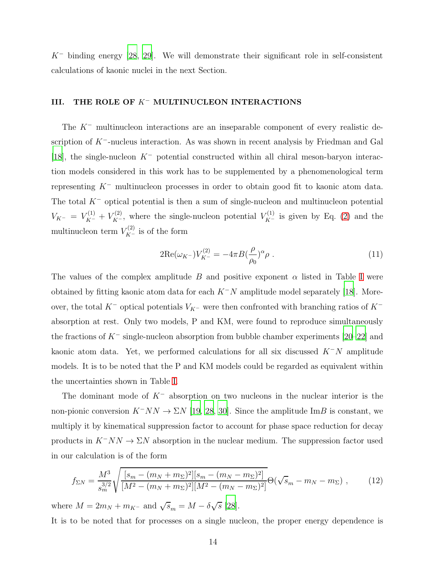$K^-$  binding energy [\[28](#page-22-23), [29\]](#page-22-24). We will demonstrate their significant role in self-consistent calculations of kaonic nuclei in the next Section.

### <span id="page-13-0"></span>III. THE ROLE OF K− MULTINUCLEON INTERACTIONS

The  $K^-$  multinucleon interactions are an inseparable component of every realistic description of  $K^-$ -nucleus interaction. As was shown in recent analysis by Friedman and Gal [\[18](#page-22-13)], the single-nucleon  $K^-$  potential constructed within all chiral meson-baryon interaction models considered in this work has to be supplemented by a phenomenological term representing K<sup>−</sup> multinucleon processes in order to obtain good fit to kaonic atom data. The total  $K^-$  optical potential is then a sum of single-nucleon and multinucleon potential  $V_{K^-} = V_{K^-}^{(1)} + V_{K^-}^{(2)}$ , where the single-nucleon potential  $V_{K^-}^{(1)}$  is given by Eq. [\(2\)](#page-4-2) and the multinucleon term  $V_{K^-}^{(2)}$  is of the form

<span id="page-13-1"></span>
$$
2\text{Re}(\omega_{K^-})V_{K^-}^{(2)} = -4\pi B \left(\frac{\rho}{\rho_0}\right)^{\alpha} \rho \tag{11}
$$

The values of the complex amplitude B and positive exponent  $\alpha$  listed in Table [I](#page-14-0) were obtained by fitting kaonic atom data for each  $K^-N$  amplitude model separately [\[18](#page-22-13)]. Moreover, the total K<sup>−</sup> optical potentials  $V_{K}$ − were then confronted with branching ratios of K<sup>−</sup> absorption at rest. Only two models, P and KM, were found to reproduce simultaneously the fractions of  $K^-$  single-nucleon absorption from bubble chamber experiments [\[20](#page-22-16)[–22\]](#page-22-17) and kaonic atom data. Yet, we performed calculations for all six discussed  $K^-N$  amplitude models. It is to be noted that the P and KM models could be regarded as equivalent within the uncertainties shown in Table [I.](#page-14-0)

The dominant mode of  $K^-$  absorption on two nucleons in the nuclear interior is the non-pionic conversion  $K^-NN \to \Sigma N$  [\[19](#page-22-15), [28](#page-22-23), [30\]](#page-22-25). Since the amplitude ImB is constant, we multiply it by kinematical suppression factor to account for phase space reduction for decay products in  $K^-NN \to \Sigma N$  absorption in the nuclear medium. The suppression factor used in our calculation is of the form

$$
f_{\Sigma N} = \frac{M^3}{s_m^{3/2}} \sqrt{\frac{[s_m - (m_N + m_\Sigma)^2][s_m - (m_N - m_\Sigma)^2]}{[M^2 - (m_N + m_\Sigma)^2][M^2 - (m_N - m_\Sigma)^2]}} \Theta(\sqrt{s}_m - m_N - m_\Sigma) ,\qquad(12)
$$

where  $M = 2m_N + m_{K^-}$  and  $\sqrt{s}_m = M - \delta \sqrt{s}$  [\[28](#page-22-23)]. It is to be noted that for processes on a single nucleon, the proper energy dependence is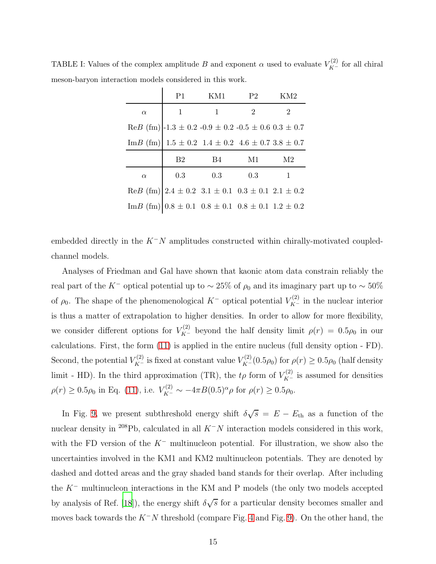|          | P <sub>1</sub> | KM1.                                                                                     | P <sub>2</sub> | KM2            |
|----------|----------------|------------------------------------------------------------------------------------------|----------------|----------------|
| $\alpha$ | $\mathbf{1}$   | $\mathbf{1}$                                                                             | $\overline{2}$ | $\overline{2}$ |
|          |                | $\text{Re}B \text{ (fm)}$  -1.3 ± 0.2 -0.9 ± 0.2 -0.5 ± 0.6 0.3 ± 0.7                    |                |                |
|          |                | Im B (fm) $1.5 \pm 0.2$ 1.4 $\pm 0.2$ 4.6 $\pm 0.7$ 3.8 $\pm 0.7$                        |                |                |
|          |                |                                                                                          |                |                |
|          | B <sub>2</sub> | B4                                                                                       | M1             | M2             |
| $\alpha$ | 0.3            | 0.3                                                                                      | 0.3            | 1              |
|          |                | $\text{Re} B \text{ (fm)} \mid 2.4 \pm 0.2 \, 3.1 \pm 0.1 \, 0.3 \pm 0.1 \, 2.1 \pm 0.2$ |                |                |

<span id="page-14-0"></span>TABLE I: Values of the complex amplitude B and exponent  $\alpha$  used to evaluate  $V_{K^-}^{(2)}$  for all chiral meson-baryon interaction models considered in this work.

embedded directly in the  $K^-N$  amplitudes constructed within chirally-motivated coupledchannel models.

Analyses of Friedman and Gal have shown that kaonic atom data constrain reliably the real part of the K<sup>−</sup> optical potential up to  $\sim 25\%$  of  $\rho_0$  and its imaginary part up to  $\sim 50\%$ of  $\rho_0$ . The shape of the phenomenological K<sup>-</sup> optical potential  $V_{K^-}^{(2)}$  in the nuclear interior is thus a matter of extrapolation to higher densities. In order to allow for more flexibility, we consider different options for  $V_{K^-}^{(2)}$  beyond the half density limit  $\rho(r) = 0.5\rho_0$  in our calculations. First, the form [\(11\)](#page-13-1) is applied in the entire nucleus (full density option - FD). Second, the potential  $V_{K^-}^{(2)}$  is fixed at constant value  $V_{K^-}^{(2)}(0.5\rho_0)$  for  $\rho(r) \ge 0.5\rho_0$  (half density limit - HD). In the third approximation (TR), the  $t\rho$  form of  $V_{K^-}^{(2)}$  is assumed for densities  $\rho(r) \ge 0.5\rho_0$  in Eq. [\(11\)](#page-13-1), i.e.  $V_{K^-}^{(2)} \sim -4\pi B(0.5)^\alpha \rho$  for  $\rho(r) \ge 0.5\rho_0$ .

In Fig. [9,](#page-15-0) we present subthreshold energy shift  $\delta\sqrt{s} = E - E_{\text{th}}$  as a function of the nuclear density in <sup>208</sup>Pb, calculated in all  $K^-N$  interaction models considered in this work, with the FD version of the  $K^-$  multinucleon potential. For illustration, we show also the uncertainties involved in the KM1 and KM2 multinucleon potentials. They are denoted by dashed and dotted areas and the gray shaded band stands for their overlap. After including the K<sup>−</sup> multinucleon interactions in the KM and P models (the only two models accepted by analysis of Ref. [\[18\]](#page-22-13)), the energy shift  $\delta\sqrt{s}$  for a particular density becomes smaller and moves back towards the  $K^-N$  threshold (compare Fig. [4](#page-9-0) and Fig. [9\)](#page-15-0). On the other hand, the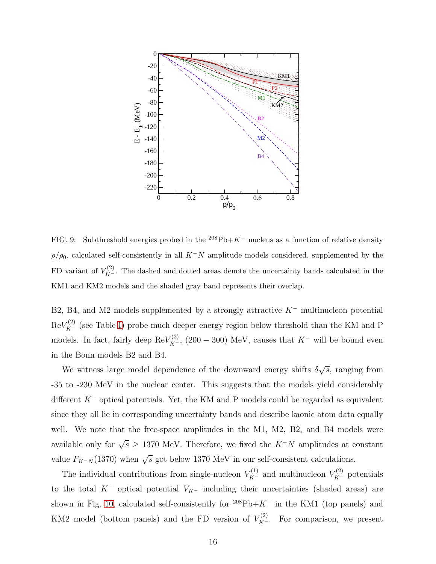

<span id="page-15-0"></span>FIG. 9: Subthreshold energies probed in the  $208Pb+K^-$  nucleus as a function of relative density  $\rho/\rho_0$ , calculated self-consistently in all  $K^-N$  amplitude models considered, supplemented by the FD variant of  $V_{K^-}^{(2)}$ . The dashed and dotted areas denote the uncertainty bands calculated in the KM1 and KM2 models and the shaded gray band represents their overlap.

B2, B4, and M2 models supplemented by a strongly attractive K<sup>−</sup> multinucleon potential  $\text{Re}V_{K^-}^{(2)}$  (see Table [I\)](#page-14-0) probe much deeper energy region below threshold than the KM and P models. In fact, fairly deep  $\text{Re}V_{K^-}^{(2)}$ , (200 – 300) MeV, causes that  $K^-$  will be bound even in the Bonn models B2 and B4.

We witness large model dependence of the downward energy shifts  $\delta\sqrt{s}$ , ranging from -35 to -230 MeV in the nuclear center. This suggests that the models yield considerably different  $K^-$  optical potentials. Yet, the KM and P models could be regarded as equivalent since they all lie in corresponding uncertainty bands and describe kaonic atom data equally well. We note that the free-space amplitudes in the M1, M2, B2, and B4 models were available only for  $\sqrt{s} \geq 1370$  MeV. Therefore, we fixed the  $K^-N$  amplitudes at constant value  $F_{K^-N}(1370)$  when  $\sqrt{s}$  got below 1370 MeV in our self-consistent calculations.

The individual contributions from single-nucleon  $V_{K^-}^{(1)}$  and multinucleon  $V_{K^-}^{(2)}$  potentials to the total  $K^-$  optical potential  $V_{K^-}$  including their uncertainties (shaded areas) are shown in Fig. [10,](#page-16-0) calculated self-consistently for  $208Pb+K^-$  in the KM1 (top panels) and KM2 model (bottom panels) and the FD version of  $V_{K^-}^{(2)}$ . For comparison, we present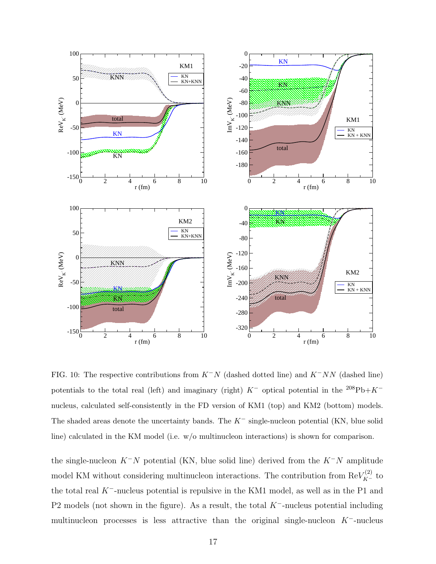

<span id="page-16-0"></span>FIG. 10: The respective contributions from  $K^-N$  (dashed dotted line) and  $K^-NN$  (dashed line) potentials to the total real (left) and imaginary (right)  $K^-$  optical potential in the <sup>208</sup>Pb+ $K^$ nucleus, calculated self-consistently in the FD version of KM1 (top) and KM2 (bottom) models. The shaded areas denote the uncertainty bands. The  $K^-$  single-nucleon potential (KN, blue solid line) calculated in the KM model (i.e. w/o multinucleon interactions) is shown for comparison.

the single-nucleon  $K^-N$  potential (KN, blue solid line) derived from the  $K^-N$  amplitude model KM without considering multinucleon interactions. The contribution from  $\text{Re}V_{K^-}^{(2)}$  to the total real K−-nucleus potential is repulsive in the KM1 model, as well as in the P1 and P2 models (not shown in the figure). As a result, the total  $K^-$ -nucleus potential including multinucleon processes is less attractive than the original single-nucleon K−-nucleus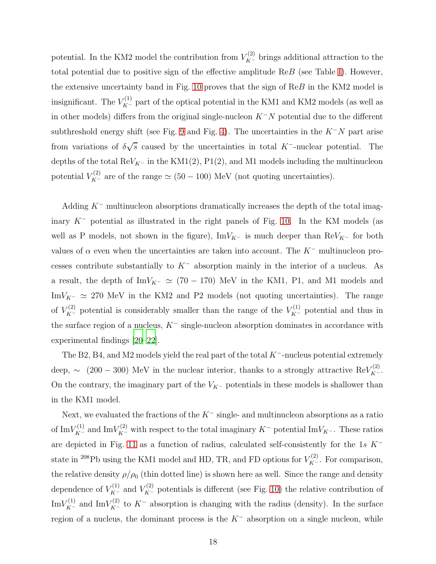potential. In the KM2 model the contribution from  $V_{K^-}^{(2)}$  brings additional attraction to the total potential due to positive sign of the effective amplitude ReB (see Table [I\)](#page-14-0). However, the extensive uncertainty band in Fig. [10](#page-16-0) proves that the sign of ReB in the KM2 model is insignificant. The  $V_{K^-}^{(1)}$  part of the optical potential in the KM1 and KM2 models (as well as in other models) differs from the original single-nucleon  $K^-N$  potential due to the different subthreshold energy shift (see Fig. [9](#page-15-0) and Fig. [4\)](#page-9-0). The uncertainties in the  $K^-N$  part arise from variations of  $\delta\sqrt{s}$  caused by the uncertainties in total K<sup>-</sup>-nuclear potential. The depths of the total Re $V_{K^-}$  in the KM1(2), P1(2), and M1 models including the multinucleon potential  $V_{K^-}^{(2)}$  are of the range  $\simeq$  (50 – 100) MeV (not quoting uncertainties).

Adding  $K^-$  multinucleon absorptions dramatically increases the depth of the total imaginary  $K^-$  potential as illustrated in the right panels of Fig. [10.](#page-16-0) In the KM models (as well as P models, not shown in the figure), ImV<sub>K</sub>- is much deeper than ReV<sub>K</sub>- for both values of  $\alpha$  even when the uncertainties are taken into account. The K<sup>-</sup> multinucleon processes contribute substantially to  $K^-$  absorption mainly in the interior of a nucleus. As a result, the depth of ImV<sub>K</sub>-  $\simeq$  (70 – 170) MeV in the KM1, P1, and M1 models and ImV<sub>K</sub>-  $\simeq$  270 MeV in the KM2 and P2 models (not quoting uncertainties). The range of  $V_{K^-}^{(2)}$  potential is considerably smaller than the range of the  $V_{K^-}^{(1)}$  potential and thus in the surface region of a nucleus,  $K^-$  single-nucleon absorption dominates in accordance with experimental findings [\[20](#page-22-16)[–22](#page-22-17)].

The B2, B4, and M2 models yield the real part of the total K−-nucleus potential extremely deep, ~ (200 – 300) MeV in the nuclear interior, thanks to a strongly attractive Re $V_{K^-}^{(2)}$ . On the contrary, the imaginary part of the  $V_{K^-}$  potentials in these models is shallower than in the KM1 model.

Next, we evaluated the fractions of the  $K^-$  single- and multinucleon absorptions as a ratio of Im $V_{K^-}^{(1)}$  and Im $V_{K^-}^{(2)}$  with respect to the total imaginary  $K^-$  potential Im $V_{K^-}$ . These ratios are depicted in Fig. [11](#page-18-0) as a function of radius, calculated self-consistently for the 1s  $K^$ state in <sup>208</sup>Pb using the KM1 model and HD, TR, and FD options for  $V_{K^-}^{(2)}$ . For comparison, the relative density  $\rho/\rho_0$  (thin dotted line) is shown here as well. Since the range and density dependence of  $V_{K^-}^{(1)}$  and  $V_{K^-}^{(2)}$  potentials is different (see Fig. [10\)](#page-16-0) the relative contribution of Im $V_{K^-}^{(1)}$  and Im $V_{K^-}^{(2)}$  to  $K^-$  absorption is changing with the radius (density). In the surface region of a nucleus, the dominant process is the  $K^-$  absorption on a single nucleon, while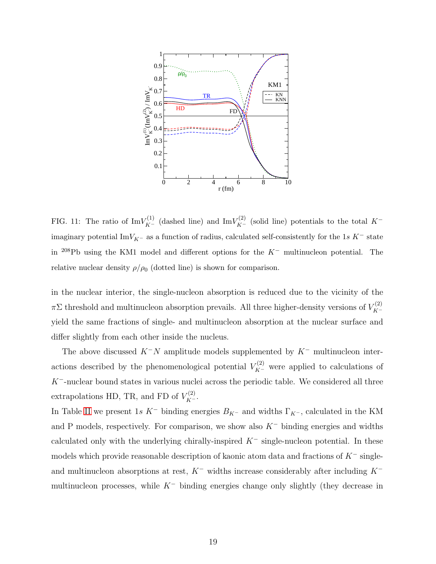

<span id="page-18-0"></span>FIG. 11: The ratio of  $\text{Im}V_{K^-}^{(1)}$  (dashed line) and  $\text{Im}V_{K^-}^{(2)}$  (solid line) potentials to the total  $K^$ imaginary potential ImV<sub>K</sub>− as a function of radius, calculated self-consistently for the 1s K<sup>−</sup> state in <sup>208</sup>Pb using the KM1 model and different options for the  $K^-$  multinucleon potential. The relative nuclear density  $\rho/\rho_0$  (dotted line) is shown for comparison.

in the nuclear interior, the single-nucleon absorption is reduced due to the vicinity of the  $\pi\Sigma$  threshold and multinucleon absorption prevails. All three higher-density versions of  $V_{K^-}^{(2)}$ yield the same fractions of single- and multinucleon absorption at the nuclear surface and differ slightly from each other inside the nucleus.

The above discussed  $K^-N$  amplitude models supplemented by  $K^-$  multinucleon interactions described by the phenomenological potential  $V_{K^-}^{(2)}$  were applied to calculations of  $K^-$ -nuclear bound states in various nuclei across the periodic table. We considered all three extrapolations HD, TR, and FD of  $V_{K^-}^{(2)}$ .

In Table [II](#page-23-0) we present 1s K<sup>−</sup> binding energies  $B_{K}$ - and widths  $\Gamma_{K}$ -, calculated in the KM and P models, respectively. For comparison, we show also  $K^-$  binding energies and widths calculated only with the underlying chirally-inspired  $K^-$  single-nucleon potential. In these models which provide reasonable description of kaonic atom data and fractions of  $K^-$  singleand multinucleon absorptions at rest,  $K^-$  widths increase considerably after including  $K^$ multinucleon processes, while  $K^-$  binding energies change only slightly (they decrease in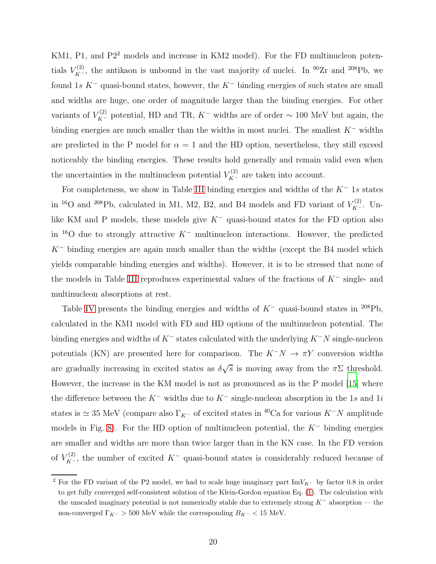KM1, P1, and P2<sup>2</sup> models and increase in KM2 model). For the FD multinucleon potentials  $V_{K^-}^{(2)}$ , the antikaon is unbound in the vast majority of nuclei. In <sup>90</sup>Zr and <sup>208</sup>Pb, we found 1s K<sup>-</sup> quasi-bound states, however, the K<sup>-</sup> binding energies of such states are small and widths are huge, one order of magnitude larger than the binding energies. For other variants of  $V_{K^-}^{(2)}$  potential, HD and TR,  $K^-$  widths are of order ~ 100 MeV but again, the binding energies are much smaller than the widths in most nuclei. The smallest K<sup>−</sup> widths are predicted in the P model for  $\alpha = 1$  and the HD option, nevertheless, they still exceed noticeably the binding energies. These results hold generally and remain valid even when the uncertainties in the multinucleon potential  $V_{K^-}^{(2)}$  are taken into account.

For completeness, we show in Table [III](#page-24-0) binding energies and widths of the  $K^-$  1s states in <sup>16</sup>O and <sup>208</sup>Pb, calculated in M1, M2, B2, and B4 models and FD variant of  $V_{K^-}^{(2)}$ . Unlike KM and P models, these models give K<sup>−</sup> quasi-bound states for the FD option also in <sup>16</sup>O due to strongly attractive  $K^-$  multinucleon interactions. However, the predicted  $K^-$  binding energies are again much smaller than the widths (except the B4 model which yields comparable binding energies and widths). However, it is to be stressed that none of the models in Table [III](#page-24-0) reproduces experimental values of the fractions of K<sup>−</sup> single- and multinucleon absorptions at rest.

Table [IV](#page-24-1) presents the binding energies and widths of  $K^-$  quasi-bound states in <sup>208</sup>Pb, calculated in the KM1 model with FD and HD options of the multinucleon potential. The binding energies and widths of  $K^-$  states calculated with the underlying  $K^-N$  single-nucleon potentials (KN) are presented here for comparison. The  $K^-N \to \pi Y$  conversion widths are gradually increasing in excited states as  $\delta\sqrt{s}$  is moving away from the  $\pi\Sigma$  threshold. However, the increase in the KM model is not as pronounced as in the P model [\[15\]](#page-22-11) where the difference between the  $K^-$  widths due to  $K^-$  single-nucleon absorption in the 1s and 1i states is  $\simeq 35$  MeV (compare also  $\Gamma_{K^-}$  of excited states in <sup>40</sup>Ca for various K<sup>-</sup>N amplitude models in Fig. [8\)](#page-12-0). For the HD option of multinucleon potential, the  $K^-$  binding energies are smaller and widths are more than twice larger than in the KN case. In the FD version of  $V_{K^-}^{(2)}$ , the number of excited  $K^-$  quasi-bound states is considerably reduced because of

<sup>&</sup>lt;sup>2</sup> For the FD variant of the P2 model, we had to scale huge imaginary part ImV<sub>K</sub>− by factor 0.8 in order to get fully converged self-consistent solution of the Klein-Gordon equation Eq. [\(1\)](#page-4-1). The calculation with the unscaled imaginary potential is not numerically stable due to extremely strong  $K^-$  absorption — the non-converged  $\Gamma_{K^-} > 500$  MeV while the corresponding  $B_{K^-} < 15$  MeV.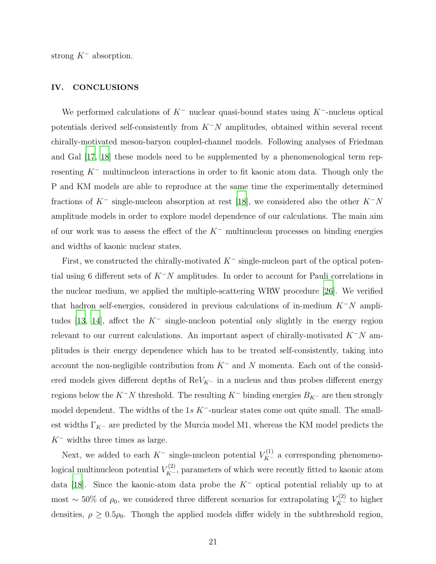strong  $K^-$  absorption.

### <span id="page-20-0"></span>IV. CONCLUSIONS

We performed calculations of  $K^-$  nuclear quasi-bound states using  $K^-$ -nucleus optical potentials derived self-consistently from  $K^-N$  amplitudes, obtained within several recent chirally-motivated meson-baryon coupled-channel models. Following analyses of Friedman and Gal [\[17,](#page-22-14) [18](#page-22-13)] these models need to be supplemented by a phenomenological term representing K<sup>−</sup> multinucleon interactions in order to fit kaonic atom data. Though only the P and KM models are able to reproduce at the same time the experimentally determined fractions of  $K^-$  single-nucleon absorption at rest [\[18\]](#page-22-13), we considered also the other  $K^-N$ amplitude models in order to explore model dependence of our calculations. The main aim of our work was to assess the effect of the  $K^-$  multinucleon processes on binding energies and widths of kaonic nuclear states.

First, we constructed the chirally-motivated  $K^-$  single-nucleon part of the optical potential using 6 different sets of  $K^-N$  amplitudes. In order to account for Pauli correlations in the nuclear medium, we applied the multiple-scattering WRW procedure [\[26\]](#page-22-21). We verified that hadron self-energies, considered in previous calculations of in-medium  $K^-N$  ampli-tudes [\[13,](#page-22-9) [14\]](#page-22-10), affect the  $K^-$  single-nucleon potential only slightly in the energy region relevant to our current calculations. An important aspect of chirally-motivated  $K^-N$  amplitudes is their energy dependence which has to be treated self-consistently, taking into account the non-negligible contribution from  $K^-$  and N momenta. Each out of the considered models gives different depths of  $\mathrm{Re}V_{K^-}$  in a nucleus and thus probes different energy regions below the K<sup>−</sup>N threshold. The resulting K<sup>−</sup> binding energies  $B_{K}$ <sup>-</sup> are then strongly model dependent. The widths of the 1s  $K^-$ -nuclear states come out quite small. The smallest widths  $\Gamma_{K^-}$  are predicted by the Murcia model M1, whereas the KM model predicts the  $K^-$  widths three times as large.

Next, we added to each  $K^-$  single-nucleon potential  $V_{K^-}^{(1)}$  a corresponding phenomenological multinucleon potential  $V_{K^-}^{(2)}$ , parameters of which were recently fitted to kaonic atom data [\[18](#page-22-13)]. Since the kaonic-atom data probe the K<sup>−</sup> optical potential reliably up to at most ~ 50% of  $\rho_0$ , we considered three different scenarios for extrapolating  $V_{K^-}^{(2)}$  to higher densities,  $\rho \geq 0.5\rho_0$ . Though the applied models differ widely in the subthreshold region,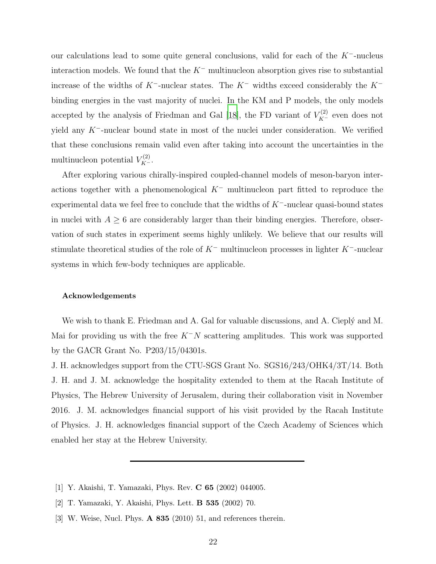our calculations lead to some quite general conclusions, valid for each of the K−-nucleus interaction models. We found that the  $K^-$  multinucleon absorption gives rise to substantial increase of the widths of K−-nuclear states. The K<sup>−</sup> widths exceed considerably the K<sup>−</sup> binding energies in the vast majority of nuclei. In the KM and P models, the only models accepted by the analysis of Friedman and Gal [\[18\]](#page-22-13), the FD variant of  $V_{K^-}^{(2)}$  even does not yield any K−-nuclear bound state in most of the nuclei under consideration. We verified that these conclusions remain valid even after taking into account the uncertainties in the multinucleon potential  $V_{K^-}^{(2)}$ .

After exploring various chirally-inspired coupled-channel models of meson-baryon interactions together with a phenomenological  $K^-$  multinucleon part fitted to reproduce the experimental data we feel free to conclude that the widths of  $K^-$ -nuclear quasi-bound states in nuclei with  $A \geq 6$  are considerably larger than their binding energies. Therefore, observation of such states in experiment seems highly unlikely. We believe that our results will stimulate theoretical studies of the role of  $K^-$  multinucleon processes in lighter  $K^-$ -nuclear systems in which few-body techniques are applicable.

#### Acknowledgements

We wish to thank E. Friedman and A. Gal for valuable discussions, and A. Cieply and M. Mai for providing us with the free  $K^-N$  scattering amplitudes. This work was supported by the GACR Grant No. P203/15/04301s.

J. H. acknowledges support from the CTU-SGS Grant No. SGS16/243/OHK4/3T/14. Both J. H. and J. M. acknowledge the hospitality extended to them at the Racah Institute of Physics, The Hebrew University of Jerusalem, during their collaboration visit in November 2016. J. M. acknowledges financial support of his visit provided by the Racah Institute of Physics. J. H. acknowledges financial support of the Czech Academy of Sciences which enabled her stay at the Hebrew University.

- <span id="page-21-0"></span>[1] Y. Akaishi, T. Yamazaki, Phys. Rev. C 65 (2002) 044005.
- [2] T. Yamazaki, Y. Akaishi, Phys. Lett. B 535 (2002) 70.
- [3] W. Weise, Nucl. Phys. **A 835** (2010) 51, and references therein.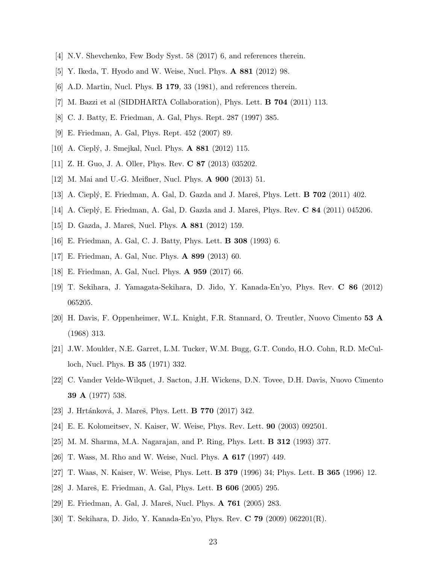- <span id="page-22-1"></span><span id="page-22-0"></span>[4] N.V. Shevchenko, Few Body Syst. 58 (2017) 6, and references therein.
- <span id="page-22-2"></span>[5] Y. Ikeda, T. Hyodo and W. Weise, Nucl. Phys. A 881 (2012) 98.
- [6] A.D. Martin, Nucl. Phys. B 179, 33 (1981), and references therein.
- <span id="page-22-4"></span><span id="page-22-3"></span>[7] M. Bazzi et al (SIDDHARTA Collaboration), Phys. Lett. B 704 (2011) 113.
- <span id="page-22-5"></span>[8] C. J. Batty, E. Friedman, A. Gal, Phys. Rept. 287 (1997) 385.
- <span id="page-22-6"></span>[9] E. Friedman, A. Gal, Phys. Rept. 452 (2007) 89.
- <span id="page-22-7"></span>[10] A. Cieplý, J. Smejkal, Nucl. Phys. **A 881** (2012) 115.
- <span id="page-22-8"></span>[11] Z. H. Guo, J. A. Oller, Phys. Rev. C 87 (2013) 035202.
- <span id="page-22-9"></span>[12] M. Mai and U.-G. Meißner, Nucl. Phys. A 900 (2013) 51.
- <span id="page-22-10"></span>[13] A. Cieplý, E. Friedman, A. Gal, D. Gazda and J. Mareš, Phys. Lett. **B 702** (2011) 402.
- <span id="page-22-11"></span>[14] A. Cieplý, E. Friedman, A. Gal, D. Gazda and J. Mareš, Phys. Rev. C 84 (2011) 045206.
- <span id="page-22-12"></span>[15] D. Gazda, J. Mareš, Nucl. Phys. **A 881** (2012) 159.
- <span id="page-22-14"></span>[16] E. Friedman, A. Gal, C. J. Batty, Phys. Lett. B 308 (1993) 6.
- <span id="page-22-13"></span>[17] E. Friedman, A. Gal, Nuc. Phys. A 899 (2013) 60.
- [18] E. Friedman, A. Gal, Nucl. Phys. A 959 (2017) 66.
- <span id="page-22-15"></span>[19] T. Sekihara, J. Yamagata-Sekihara, D. Jido, Y. Kanada-En'yo, Phys. Rev. C 86 (2012) 065205.
- <span id="page-22-16"></span>[20] H. Davis, F. Oppenheimer, W.L. Knight, F.R. Stannard, O. Treutler, Nuovo Cimento 53 A (1968) 313.
- [21] J.W. Moulder, N.E. Garret, L.M. Tucker, W.M. Bugg, G.T. Condo, H.O. Cohn, R.D. McCulloch, Nucl. Phys. B 35 (1971) 332.
- <span id="page-22-17"></span>[22] C. Vander Velde-Wilquet, J. Sacton, J.H. Wickens, D.N. Tovee, D.H. Davis, Nuovo Cimento 39 A (1977) 538.
- <span id="page-22-18"></span>[23] J. Hrtánková, J. Mareš, Phys. Lett. **B 770** (2017) 342.
- <span id="page-22-19"></span>[24] E. E. Kolomeitsev, N. Kaiser, W. Weise, Phys. Rev. Lett. 90 (2003) 092501.
- <span id="page-22-20"></span>[25] M. M. Sharma, M.A. Nagarajan, and P. Ring, Phys. Lett. B 312 (1993) 377.
- <span id="page-22-21"></span>[26] T. Wass, M. Rho and W. Weise, Nucl. Phys. A 617 (1997) 449.
- <span id="page-22-22"></span>[27] T. Waas, N. Kaiser, W. Weise, Phys. Lett. B 379 (1996) 34; Phys. Lett. B 365 (1996) 12.
- <span id="page-22-23"></span>[28] J. Mareš, E. Friedman, A. Gal, Phys. Lett. **B 606** (2005) 295.
- <span id="page-22-24"></span>[29] E. Friedman, A. Gal, J. Mareš, Nucl. Phys. **A 761** (2005) 283.
- <span id="page-22-25"></span>[30] T. Sekihara, D. Jido, Y. Kanada-En'yo, Phys. Rev. C 79 (2009) 062201(R).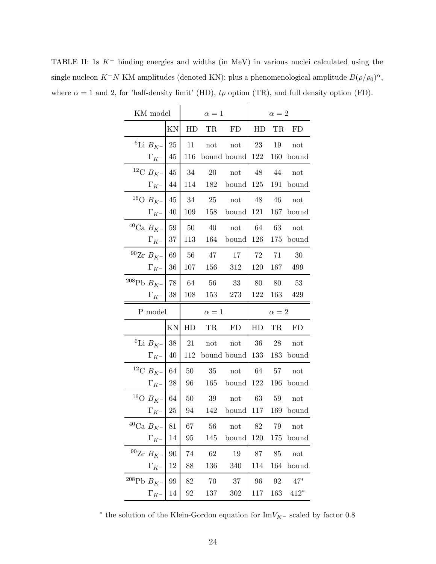| KM model                       |    |     | $\alpha=1$           |                               | $\alpha=2$ |            |               |  |
|--------------------------------|----|-----|----------------------|-------------------------------|------------|------------|---------------|--|
|                                | KN |     | HD TR                | FD                            |            | HD TR      | FD            |  |
| ${}^{6}$ Li $B_{K^-}$ 25       |    | 11  | $\operatorname{not}$ | not                           | 23         | 19         | not           |  |
| $\Gamma_{K^-}$ 45              |    |     |                      | 116 bound bound 122 160 bound |            |            |               |  |
| <sup>12</sup> C $B_{K^-}$ 45   |    |     | 34 20                | not                           | 48 44      |            | not           |  |
| $\Gamma_{K^-}$ 44              |    |     |                      | 114 182 bound                 |            |            | 125 191 bound |  |
| <sup>16</sup> O $B_{K^-}$ 45   |    |     | 34 25                | not                           | 48 46      |            | not           |  |
| $\Gamma_{K^-}$ 40              |    |     |                      | 109 158 bound                 | 121        |            | 167 bound     |  |
| <sup>40</sup> Ca $B_{K^-}$ 59  |    |     | 50 40                | $\operatorname{not}$          |            |            | 64 63 not     |  |
| $\Gamma_{K^-}$ 37              |    |     |                      | 113 164 bound 126             |            |            | 175 bound     |  |
| $^{90}Zr B_{K^-}$ 69           |    |     | 56 47                | 17                            | 72         | 71         | - 30          |  |
| $\Gamma_{K^-}$ 36              |    | 107 | 156 312              |                               | 120        |            | 167 499       |  |
| $^{208}\text{Pb}$ $B_{K^-}$ 78 |    |     | 64 56                | - 33                          |            |            | 80 80 53      |  |
| $\Gamma_{K^-} \, \: 38$        |    |     | 108 153              | 273                           |            |            | 122 163 429   |  |
|                                |    |     |                      |                               |            |            |               |  |
| P model                        |    |     | $\alpha=1$           |                               |            | $\alpha=2$ |               |  |
|                                | KN |     | HD TR FD             |                               | HD         | TR         | FD            |  |
| <sup>6</sup> Li $B_{K^-}$   38 |    | -21 | not not              |                               | 36 28      |            | not           |  |
| $\Gamma_{K^-}$ 40              |    |     |                      | 112 bound bound               |            |            | 133 183 bound |  |
| <sup>12</sup> C $B_{K^-}$ 64   |    | 50  | $35$ not             |                               |            |            | 64 57 not     |  |
| $\Gamma_{K^-}$ 28              |    | 96  |                      | 165 bound                     |            |            | 122 196 bound |  |
| <sup>16</sup> O $B_{K^-}$ 64   |    | 50  | $39$ not             |                               |            |            | 63 59 not     |  |
| $\Gamma_{K^-}$   25            |    | 94  |                      | 142 bound 117 169 bound       |            |            |               |  |
| $^{40}$ Ca $B_{K^-}$   81      |    | 67  | 56                   | not                           | 82         | 79         | not           |  |
| $\Gamma_{K^-}$ 14              |    | 95  | 145                  | bound                         | 120        | 175        | bound         |  |
| $90$ Zr $B_{K^-}$ 90           |    | 74  | 62                   | 19                            | 87         | 85         | not           |  |
| $\Gamma_{K^-}$                 | 12 | 88  | 136                  | 340                           | 114        | 164        | bound         |  |
| $^{208}Pb B_{K^-}$ 99          |    | 82  | 70                   | 37                            | 96         | 92         | $47*$         |  |

<span id="page-23-0"></span>TABLE II: 1s K− binding energies and widths (in MeV) in various nuclei calculated using the single nucleon  $K^-N$  KM amplitudes (denoted KN); plus a phenomenological amplitude  $B(\rho/\rho_0)^{\alpha}$ , where  $\alpha = 1$  and 2, for 'half-density limit' (HD),  $t\rho$  option (TR), and full density option (FD).

\* the solution of the Klein-Gordon equation for  ${\rm Im}V_{K^-}$  scaled by factor 0.8